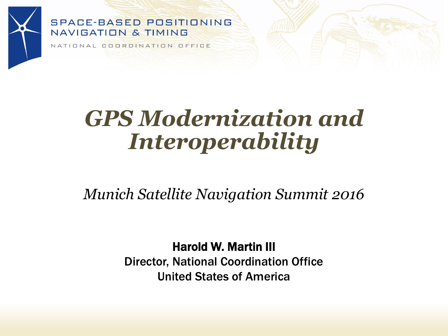

NATIONAL COORDINATION OFFICE

# *GPS Modernization and Interoperability*

*Munich Satellite Navigation Summit 2016*

Harold W. Martin III Director, National Coordination Office United States of America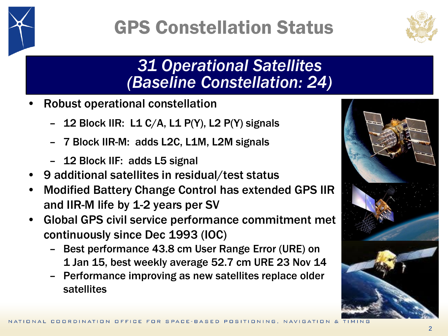

## GPS Constellation Status



#### *31 Operational Satellites (Baseline Constellation: 24)*

- Robust operational constellation
	- 12 Block IIR: L1 C/A, L1 P(Y), L2 P(Y) signals
	- 7 Block IIR-M: adds L2C, L1M, L2M signals
	- 12 Block IIF: adds L5 signal
- 9 additional satellites in residual/test status
- Modified Battery Change Control has extended GPS IIR and IIR-M life by 1-2 years per SV
- Global GPS civil service performance commitment met continuously since Dec 1993 (IOC)
	- Best performance 43.8 cm User Range Error (URE) on 1 Jan 15, best weekly average 52.7 cm URE 23 Nov 14
	- Performance improving as new satellites replace older satellites

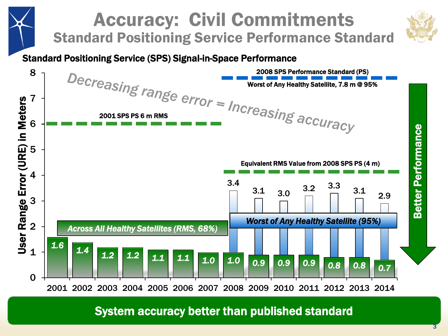

3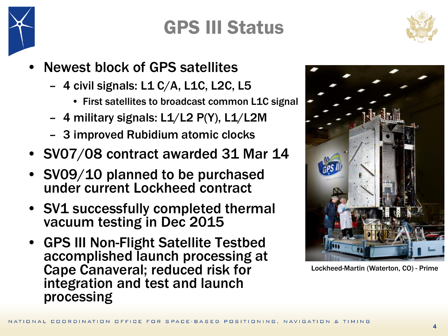

### GPS III Status



- Newest block of GPS satellites
	- 4 civil signals: L1 C/A, L1C, L2C, L5
		- First satellites to broadcast common L1C signal
	- 4 military signals: L1/L2 P(Y), L1/L2M
	- 3 improved Rubidium atomic clocks
- SV07/08 contract awarded 31 Mar 14
- SV09/10 planned to be purchased under current Lockheed contract
- SV1 successfully completed thermal vacuum testing in Dec 2015
- GPS III Non-Flight Satellite Testbed accomplished launch processing at Cape Canaveral; reduced risk for integration and test and launch processing



Lockheed-Martin (Waterton, CO) - Prime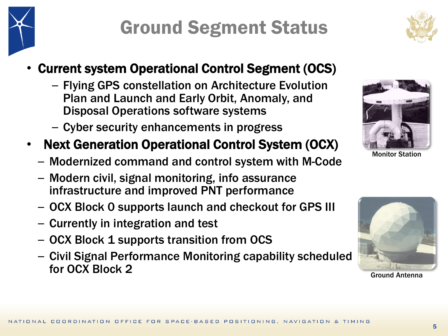## Ground Segment Status

#### • Current system Operational Control Segment (OCS)

- Flying GPS constellation on Architecture Evolution Plan and Launch and Early Orbit, Anomaly, and Disposal Operations software systems
- Cyber security enhancements in progress
- Next Generation Operational Control System (OCX)
	- Modernized command and control system with M-Code
	- Modern civil, signal monitoring, info assurance infrastructure and improved PNT performance
	- OCX Block 0 supports launch and checkout for GPS III
	- Currently in integration and test
	- OCX Block 1 supports transition from OCS
	- Civil Signal Performance Monitoring capability scheduled for OCX Block 2



Monitor Station



Ground Antenna

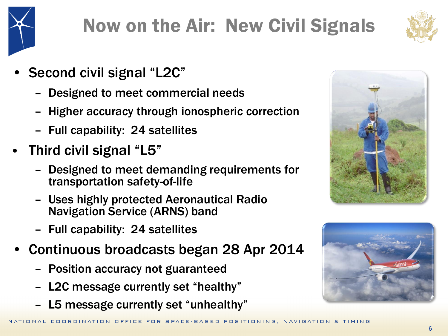

# Now on the Air: New Civil Signals



- Second civil signal "L2C"
	- Designed to meet commercial needs
	- Higher accuracy through ionospheric correction
	- Full capability: 24 satellites
- Third civil signal "L5"
	- Designed to meet demanding requirements for transportation safety-of-life
	- Uses highly protected Aeronautical Radio Navigation Service (ARNS) band
	- Full capability: 24 satellites
- Continuous broadcasts began 28 Apr 2014
	- Position accuracy not guaranteed
	- L2C message currently set "healthy"
	- L5 message currently set "unhealthy"



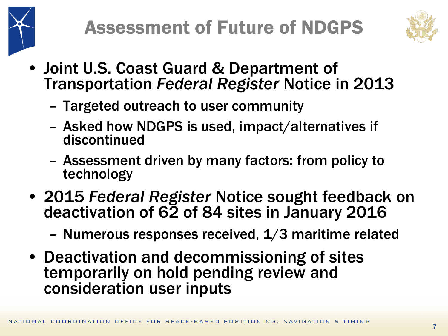



- Joint U.S. Coast Guard & Department of Transportation *Federal Register* Notice in 2013
	- Targeted outreach to user community
	- Asked how NDGPS is used, impact/alternatives if discontinued
	- Assessment driven by many factors: from policy to technology
- 2015 *Federal Register* Notice sought feedback on deactivation of 62 of 84 sites in January 2016
	- Numerous responses received, 1/3 maritime related
- Deactivation and decommissioning of sites temporarily on hold pending review and consideration user inputs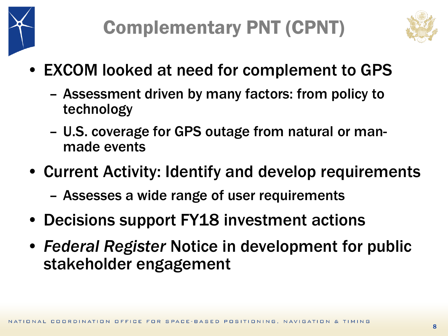



- EXCOM looked at need for complement to GPS
	- Assessment driven by many factors: from policy to technology
	- U.S. coverage for GPS outage from natural or manmade events
- Current Activity: Identify and develop requirements
	- Assesses a wide range of user requirements
- Decisions support FY18 investment actions
- *Federal Register* Notice in development for public stakeholder engagement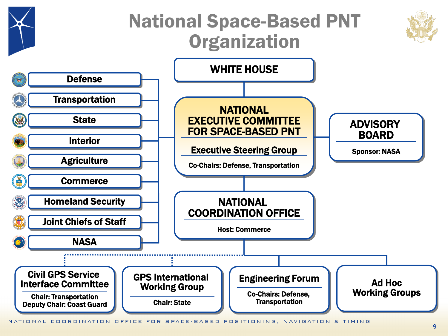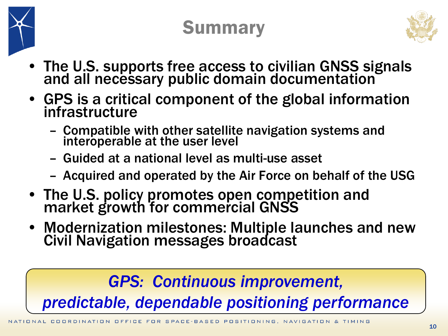

## Summary



- The U.S. supports free access to civilian GNSS signals and all necessary public domain documentation
- GPS is a critical component of the global information infrastructure
	- Compatible with other satellite navigation systems and interoperable at the user level
	- Guided at a national level as multi-use asset
	- Acquired and operated by the Air Force on behalf of the USG
- The U.S. policy promotes open competition and market growth for commercial GNSS
- Modernization milestones: Multiple launches and new Civil Navigation messages broadcast

#### *GPS: Continuous improvement, predictable, dependable positioning performance*